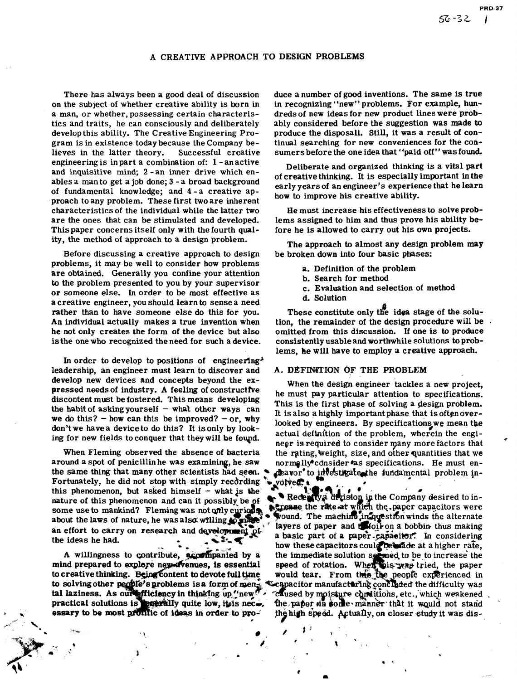# A CREATIVE APPROACH TO DESIGN PROBLEMS

There has always been a good deal of discussion on the subject of whether creative ability is born in a man, or whether, possessing certain characteristics and traits, he can consciously and deliberately develop this ability. The Creative Engineering Program is in existence today because the Company be-<br>lieves in the latter theory. Successful creative lieves in the latter theory. engineering is in part a combination of: 1 - an active and inquisitive mind; 2 -an inner drive which enables a man to get a job done; 3 - a broad background of fundamental knowledge; and 4 -a creative approach to any problem. These first two are inherent characteristics of the individual while the latter two are the ones that can be stimulated and developed. This paper concerns itself only with the fourth quality, the method of approach to a design problem.

Before discussing a creative approach to design problems, it may be well to consider how problems are obtained. Generally you confine your attention to the problem presented to you by your supervisor or someone else. In order to be most effective as a creative engineer, you should learn to sense a need rather than to have someone else do this for you. An individual actually makes a true invention when he not only creates the form of the device but also is the one who recognized the need for such a device.

In order to develop to positions of engineering<sup>\$</sup> leadership, an engineer must learn to discover and develop new devices and concepts beyond the expressed needsof industry. **A** feeling of constructive discontent must be fostered. This means developing the habit of asking yourself  $-$  what other ways can we do this? - how can this be improved? - or, why don't we have a device to do this? It is only by looking for new fields to conquer that they will be fowd.

When Fleming observed the absence of bacteria around a spot of penicillin he was examining, he saw the same thing that many other scientists had seen. Fortunately, he did not stop with simply recdrding this phenomenon, but asked himself  $-$  what is the nature of this phenomenon and can it possibly be of some use to mankind? Fleming was not only curiods<br>about the laws of nature, he was also willing to prove an effort to carry on research and development  $\phi$ .<br>the ideas he had. - 2- €

to creative thinking. Being content to devote full time would tear. From this the people experienced in to solving other people's problems is a form of men<sub>e</sub> C-capacitor manufacturing concluded the difficulty was tal laziness. As our efficiency in thinking up "new".<br>practical solutions is enterally quite low, it is necessary to be most profilic of ideas in order to pro-

 $\mathcal{L}^*$  .

duce a number of good inventions. The same is true in recognizing "new" problems. For example, hundreds of new ideas for new product lines were probably considered before the suggestion was made to produce the disposall. Still, it was a result of continual searching for new conveniences for the consumers before the one idea that "paid off" was found.

Deliberate and organized thinking is a vital part of creative thinking. It is especially important in the early years of an engineer's experience that he learn how to improve his creative ability.

He must increase his effectiveness to solve problems assigned to him and thus prove his ability before he is allowed to carry out his own projects.

The approach to almost any design problem may be broken down into four basic phases:

- a. Definition of the problem
- b. Search for method
- c. Evaluation and selection of method
- d. Solution

These constitute only the idea stage of the solution, the remainder of the design procedure will be omitted from this discussion. If one is to produce consistently usable and worthwhile solutions to problems, he will have to employ a creative approach.

### A. DEFINITION OF THE PROBLEM

When the design engineer tackles a new project, he must pay particular attention to specifications. This is the first phase of solving a design problem. It is also a highly important phase that is oftenoverlooked by engineers. By specifications, we mean the actual definition of the problem, wherein the engineer is required to consider many more factors that the rating, weight, size, and other quantities that we normelly<sup>s</sup> consider as specifications. He must en-<br>deavor' to investigate the fundamental problem involved:

Received in the Company desired to in-<br>Speeds the rate at which the company desired to inwound. The machine in aquestion winds the alternate layers of paper and thousand bobbin thus making a basic part of a paper capacitor. In considering how these capacitors could be state at a higher rate, nied by a the immediate soluti essential speed of rotation. caused by moisture conditions, etc., which weakened the paper sin some manner that it would not stand the high speed. Actually, on closer study it was dis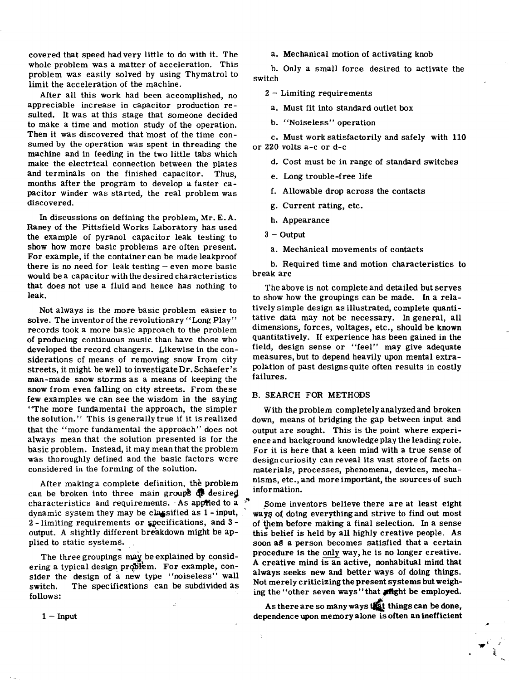covered that speed hadvery little to do with it. The whole problem was a matter of acceleration. This problem was easily solved by using Thymatrol to limit the acceleration of the machine.

After all this work had been accomplished, no appreciable increase in capacitor production resulted. It was at this stage that someone decided to make a time and motion study of the operation. Then it was discovered that most of the time consumed by the operation was spent in threading the machine and in feeding in the two little tabs which make the electrical connection between the plates and terminals on the finished capacitor. Thus, months after the program to develop a faster capacitor winder was started, the real problem was discovered.

In discussions on defining the problem, Mr. E. **A.**  Raney of the Pittsfield Works Laboratory has used the example of pyranol capacitor leak testing to show how more basic problems are often present. For example, if the container can be made leakproof there is no need for leak testing  $-\epsilon$  ven more basic would be a capacitor with the desired characteristics that does not use a fluid and hence has nothing to leak.

Not always is the more basic problem easier to solve. The inventor of the revolutionary "Long Play" records took a more basic approach to the problem of producing continuous music than have those who developed the record changers. Likewise in the considerations of means of removing snow from city streets, it might be well to investigate Dr. Schaefer's man-made snow storms as a means of keeping the snow from even falling on city streets. From these few examples we can see the wisdom in the saying "The more fundamental the approach, the simpler the solution." This is generally true if it is realized that the "more fundamental the approach" does not always mean that the solution presented is for the basic problem. Instead, it may mean that the problem was thoroughly defined and the basic factors were considered in the forming of the solution.

After making a complete definition, the problem can be broken into three main groups  $\mathbb Q$  desired characteristics and requirements. As applied to a  $\sqrt[n]{\ }$ dynamic system they may be classified as 1 - input, 2 - limiting requirements or specifications, and 3 output. **A** slightly different breakdown might be applied to static systems.

The three groupings may be explained by considering a typical design problem. For example, consider the design of a new type "noiseless" wall switch. follows: The specifications can be subdivided as a. Mechanical motion of activating knob

b. Only a small force desired to activate the switch

<sup>2</sup>- Limiting requirements

a. Must fit into standard outlet box

b. "Noiseless" operation

c. Must work satisfactorily and safely with 110 or 220 volts a-c or d-c

d. Cost must be in range of standard switches

e. Long trouble-free life

f. Allowable drop across the contacts

g. Current rating, etc.

h. Appearance

 $3 -$  Output

a. Mechanical movements of contacts

b. Required time and motion characteristics to break arc

The above is not complete and detailed but serves to show how the groupings can be made. In a relatively simple design as illustrated, complete quantitative data may not be necessary. In general, all dimensions, forces, voltages, etc., should be known quantitatively. If experience has been gained in the field, design sense or "feel" may give adequate measures, but to depend heavily upon mental extrapolation of past designsquite often results in costly failures.

## B. SEARCH FOR METHODS

With the problem completely analyzedand broken down, means of bridging the gap between input and output are sought. This is the point where experience and background knowledge play the leading role. For it is here that a keen mind with a true sense of design curiosity can reveal its vast store of facts on materials, processes, phenomena, devices, mechanisms, etc., and more important, the sources of such information.

Some inventors believe there are at least eight ways of doing everything and strive to find out most of them before making a final selection. In a sense this belief is held by all highly creative people. As soon **aS** a person becomes satisfied that a certain procedure is the only way, he is no longer creative. **<sup>A</sup>**creative mind is an active, nonhabitual mind that always seeks new and better ways of doing things. Not merely criticizing the present systems but weighing the "other seven ways" that **inght** be employed.

As there are so many ways things can **be** done, dependence upon memory alone is often an inefficient

#

**<sup>1</sup>**- Input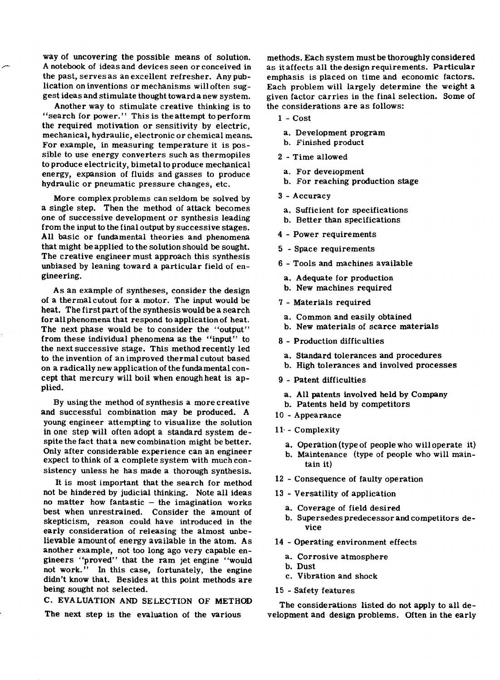way of uncovering the possible means of solution. A notebook of ideas and devices seen or conceived in the past, serves as an excellent refresher. Any publication on inventions or mechanisms will often suggest ideas and stimulate thought towarda new system.

Another way to stimulate creative thinking is to "search for power." This is the attempt to perform the required motivation or sensitivity by electric, mechanical, hydraulic, electronic or chemical means. For example, in measuring temperature it is possible to use energy converters such as thermopiles to produce electricity, bimetal to produce mechanical energy, expansion of fluids and gasses to produce hydraulic or pneumatic pressure changes, etc.

More complexproblems can seldom be solved by a single step. Then the method of attack becomes one of successive development or synthesis leading from the input to the finaloutput by successive stages. All basic or fundamental theories and phenomena that might be applied to the solution should be sought. The creative engineer must approach this synthesis unbiased by leaning toward a particular field of engineering.

As an example of syntheses, consider the design of a thermalcutout for a motor. The input would be heat. The first part of the synthesis would be a search for all phenomena that respond to applicationof heat. The next phase would be to consider the "output" from these individual phenomena as the "input" to the next successive stage. This method recently led to the invention of an improved thermal cutout based on a radically new application of the fundamental concept that mercury will boil when enough heat is applied.

By using the method of synthesis a more creative and successful combination may be produced. A young engineer attempting to visualize the solution in one step will often adopt a standard system despite the fact that a new combination might be better. Only after considerable experience can an engineer expect to think of a complete system with much consistency unless he has made a thorough synthesis.

It is most important that the search for method not be hindered by judicial thinking. Note all ideas no matter how fantastic  $-$  the imagination works best when unrestrained. Consider the amount of skepticism, reason could have introduced in the early consideration of releasing the almost unbelievable amount of energy available in the atom. As another example, not too long ago very capable engineers "proved" that the ram jet engine "would not work." In this case, fortunately, the engine didn't know that. Besides at this point methods are being sought not selected.

**C.** EVALUATION AND SELECTION OF METHOD The next step is the evaluation of the various

methods. Each system must be thoroughly considered as it affects all the design requirements. Particular emphasis is placed on time and economic factors. Each problem will largely determine the weight a given factor carries in the final selection. Some of the considerations are as follows:

- **1**  Cost
	- a. Development program
	- b. Finished product
- **<sup>2</sup>** Time allowed
	- a. For development
- b. For reaching production stage
- **<sup>3</sup>** Accuracy
- a. Sufficient for specifications
- b. Better than specifications
- 4 Power requirements
- 5 Space requirements
- 6 Tools and machines available
- a. Adequate for production
- b. New machines required
- 7 Materials required
- a. Common and easily obtained
- b. New materials of scarce materials
- 8 Production difficulties
- a. Standard tolerances and procedures
- b. High tolerances and involved processes
- 9 Patent difficulties
- a. All patents involved held by Company
- b. Patents held by competitors
- **<sup>10</sup>** Appearance
- **11.**  Complexity
	- a. Operation (type of people who will operate it)
	- b. Maintenance (type of people who will maintain it)
- **<sup>12</sup>** Consequence of faulty operation
- **<sup>13</sup>** Versatility of application
	- a. Coverage of field desired
	- b. Supersedes predecessor and competitors device
- 14 Operating environment effects
	- a. Corrosive atmosphere
	- b. Dust
	- c. Vibration and shock
- 15 Safety features

The considerations listed do not apply to all development and design problems. Often in the early